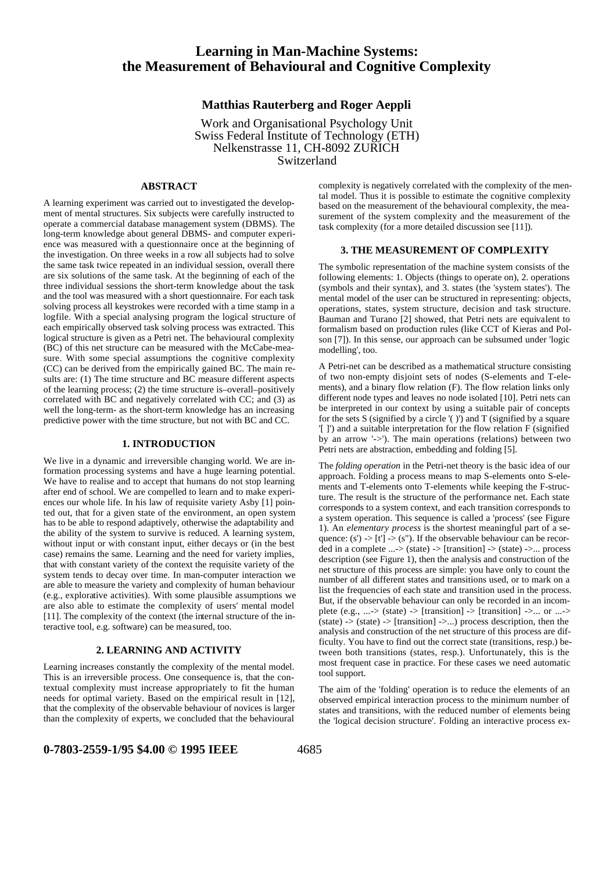## **Learning in Man-Machine Systems: the Measurement of Behavioural and Cognitive Complexity**

## **Matthias Rauterberg and Roger Aeppli**

Work and Organisational Psychology Unit Swiss Federal Institute of Technology (ETH) Nelkenstrasse 11, CH-8092 ZURICH Switzerland

## **ABSTRACT**

A learning experiment was carried out to investigated the development of mental structures. Six subjects were carefully instructed to operate a commercial database management system (DBMS). The long-term knowledge about general DBMS- and computer experience was measured with a questionnaire once at the beginning of the investigation. On three weeks in a row all subjects had to solve the same task twice repeated in an individual session, overall there are six solutions of the same task. At the beginning of each of the three individual sessions the short-term knowledge about the task and the tool was measured with a short questionnaire. For each task solving process all keystrokes were recorded with a time stamp in a logfile. With a special analysing program the logical structure of each empirically observed task solving process was extracted. This logical structure is given as a Petri net. The behavioural complexity (BC) of this net structure can be measured with the McCabe-measure. With some special assumptions the cognitive complexity (CC) can be derived from the empirically gained BC. The main results are: (1) The time structure and BC measure different aspects of the learning process; (2) the time structure is–overall–positively correlated with BC and negatively correlated with CC; and (3) as well the long-term- as the short-term knowledge has an increasing predictive power with the time structure, but not with BC and CC.

#### **1. INTRODUCTION**

We live in a dynamic and irreversible changing world. We are information processing systems and have a huge learning potential. We have to realise and to accept that humans do not stop learning after end of school. We are compelled to learn and to make experiences our whole life. In his law of requisite variety Asby [1] pointed out, that for a given state of the environment, an open system has to be able to respond adaptively, otherwise the adaptability and the ability of the system to survive is reduced. A learning system, without input or with constant input, either decays or (in the best case) remains the same. Learning and the need for variety implies, that with constant variety of the context the requisite variety of the system tends to decay over time. In man-computer interaction we are able to measure the variety and complexity of human behaviour (e.g., explorative activities). With some plausible assumptions we are also able to estimate the complexity of users' mental model [11]. The complexity of the context (the internal structure of the interactive tool, e.g. software) can be measured, too.

## **2. LEARNING AND ACTIVITY**

Learning increases constantly the complexity of the mental model. This is an irreversible process. One consequence is, that the contextual complexity must increase appropriately to fit the human needs for optimal variety. Based on the empirical result in [12], that the complexity of the observable behaviour of novices is larger than the complexity of experts, we concluded that the behavioural complexity is negatively correlated with the complexity of the mental model. Thus it is possible to estimate the cognitive complexity based on the measurement of the behavioural complexity, the measurement of the system complexity and the measurement of the task complexity (for a more detailed discussion see [11]).

## **3. THE MEASUREMENT OF COMPLEXITY**

The symbolic representation of the machine system consists of the following elements: 1. Objects (things to operate on), 2. operations (symbols and their syntax), and 3. states (the 'system states'). The mental model of the user can be structured in representing: objects, operations, states, system structure, decision and task structure. Bauman and Turano [2] showed, that Petri nets are equivalent to formalism based on production rules (like CCT of Kieras and Polson [7]). In this sense, our approach can be subsumed under 'logic modelling', too.

A Petri-net can be described as a mathematical structure consisting of two non-empty disjoint sets of nodes (S-elements and T-elements), and a binary flow relation (F). The flow relation links only different node types and leaves no node isolated [10]. Petri nets can be interpreted in our context by using a suitable pair of concepts for the sets S (signified by a circle  $(')'$ ) and T (signified by a square '[ ]') and a suitable interpretation for the flow relation F (signified by an arrow '->'). The main operations (relations) between two Petri nets are abstraction, embedding and folding [5].

The *folding operation* in the Petri-net theory is the basic idea of our approach. Folding a process means to map S-elements onto S-elements and T-elements onto T-elements while keeping the F-structure. The result is the structure of the performance net. Each state corresponds to a system context, and each transition corresponds to a system operation. This sequence is called a 'process' (see Figure 1). An *elementary process* is the shortest meaningful part of a sequence:  $(s') \rightarrow [t'] \rightarrow (s'')$ . If the observable behaviour can be recorded in a complete ...-> (state) -> [transition] -> (state) ->... process description (see Figure 1), then the analysis and construction of the net structure of this process are simple: you have only to count the number of all different states and transitions used, or to mark on a list the frequencies of each state and transition used in the process. But, if the observable behaviour can only be recorded in an incomplete (e.g., ...-> (state) -> [transition] -> [transition] ->... or ...->  $(\text{state})$  ->  $(\text{state})$  ->  $[\text{transition}]$  ->...) process description, then the analysis and construction of the net structure of this process are difficulty. You have to find out the correct state (transitions, resp.) between both transitions (states, resp.). Unfortunately, this is the most frequent case in practice. For these cases we need automatic tool support.

The aim of the 'folding' operation is to reduce the elements of an observed empirical interaction process to the minimum number of states and transitions, with the reduced number of elements being the 'logical decision structure'. Folding an interactive process ex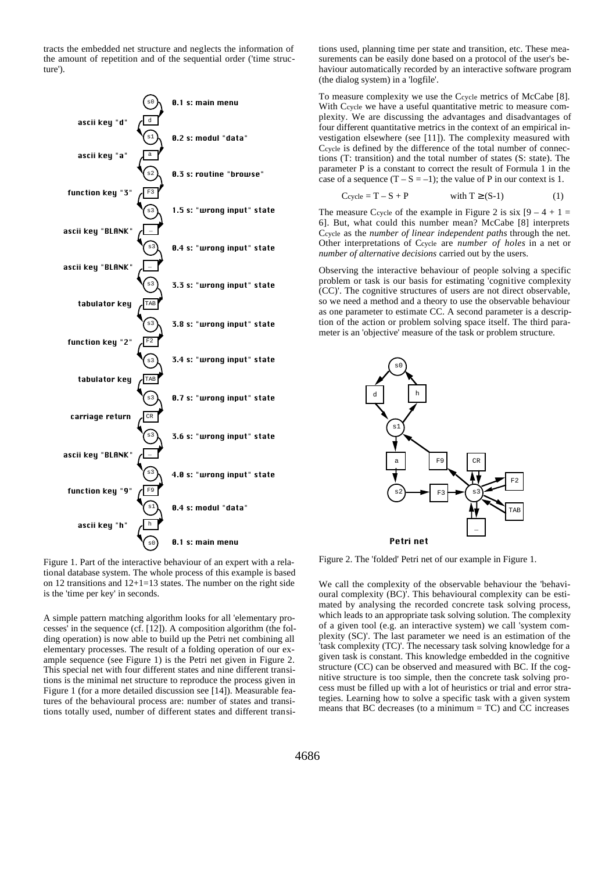tracts the embedded net structure and neglects the information of the amount of repetition and of the sequential order ('time structure').



Figure 1. Part of the interactive behaviour of an expert with a relational database system. The whole process of this example is based on 12 transitions and 12+1=13 states. The number on the right side is the 'time per key' in seconds.

A simple pattern matching algorithm looks for all 'elementary processes' in the sequence (cf. [12]). A composition algorithm (the folding operation) is now able to build up the Petri net combining all elementary processes. The result of a folding operation of our example sequence (see Figure 1) is the Petri net given in Figure 2. This special net with four different states and nine different transitions is the minimal net structure to reproduce the process given in Figure 1 (for a more detailed discussion see [14]). Measurable features of the behavioural process are: number of states and transitions totally used, number of different states and different transitions used, planning time per state and transition, etc. These measurements can be easily done based on a protocol of the user's behaviour automatically recorded by an interactive software program (the dialog system) in a 'logfile'.

To measure complexity we use the Ccycle metrics of McCabe [8]. With Ccycle we have a useful quantitative metric to measure complexity. We are discussing the advantages and disadvantages of four different quantitative metrics in the context of an empirical investigation elsewhere (see [11]). The complexity measured with Ccycle is defined by the difference of the total number of connections (T: transition) and the total number of states (S: state). The parameter P is a constant to correct the result of Formula 1 in the case of a sequence  $(T - S = -1)$ ; the value of P in our context is 1.

$$
Ccycle = T - S + P \qquad \text{with } T \ge (S-1) \tag{1}
$$

The measure Ccycle of the example in Figure 2 is six  $[9 - 4 + 1 =$ 6]. But, what could this number mean? McCabe [8] interprets Ccycle as the *number of linear independent paths* through the net. Other interpretations of Ccycle are *number of holes* in a net or *number of alternative decisions* carried out by the users.

Observing the interactive behaviour of people solving a specific problem or task is our basis for estimating 'cognitive complexity (CC)'. The cognitive structures of users are not direct observable, so we need a method and a theory to use the observable behaviour as one parameter to estimate CC. A second parameter is a description of the action or problem solving space itself. The third parameter is an 'objective' measure of the task or problem structure.



Figure 2. The 'folded' Petri net of our example in Figure 1.

We call the complexity of the observable behaviour the 'behavioural complexity (BC)'. This behavioural complexity can be estimated by analysing the recorded concrete task solving process, which leads to an appropriate task solving solution. The complexity of a given tool (e.g. an interactive system) we call 'system complexity (SC)'. The last parameter we need is an estimation of the 'task complexity (TC)'. The necessary task solving knowledge for a given task is constant. This knowledge embedded in the cognitive structure (CC) can be observed and measured with BC. If the cognitive structure is too simple, then the concrete task solving process must be filled up with a lot of heuristics or trial and error strategies. Learning how to solve a specific task with a given system means that BC decreases (to a minimum = TC) and CC increases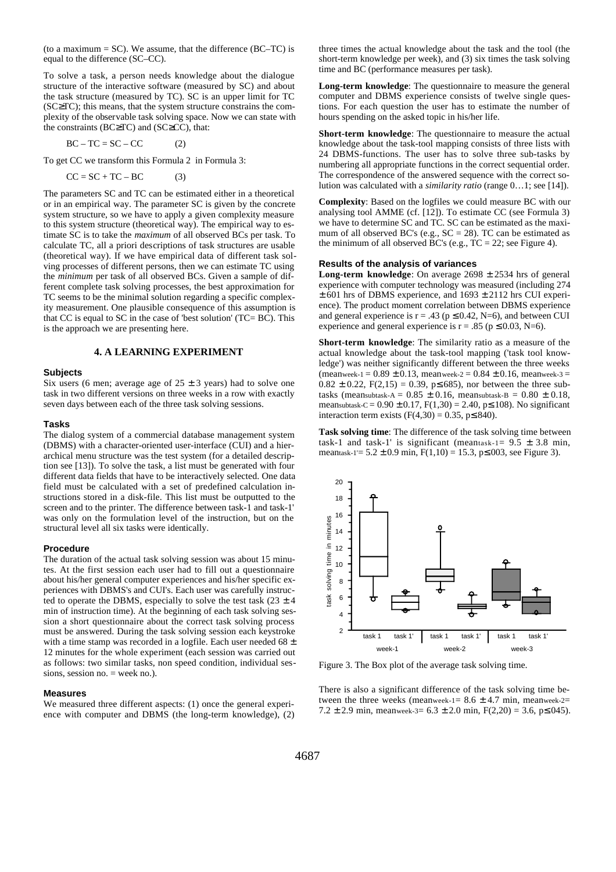(to a maximum  $=$  SC). We assume, that the difference (BC–TC) is equal to the difference (SC–CC).

To solve a task, a person needs knowledge about the dialogue structure of the interactive software (measured by SC) and about the task structure (measured by TC). SC is an upper limit for TC (SC≥TC); this means, that the system structure constrains the complexity of the observable task solving space. Now we can state with the constraints (BC≥TC) and (SC≥CC), that:

$$
BC - TC = SC - CC \tag{2}
$$

To get CC we transform this Formula 2 in Formula 3:

$$
CC = SC + TC - BC \tag{3}
$$

The parameters SC and TC can be estimated either in a theoretical or in an empirical way. The parameter SC is given by the concrete system structure, so we have to apply a given complexity measure to this system structure (theoretical way). The empirical way to estimate SC is to take the *maximum* of all observed BCs per task. To calculate TC, all a priori descriptions of task structures are usable (theoretical way). If we have empirical data of different task solving processes of different persons, then we can estimate TC using the *minimum* per task of all observed BCs. Given a sample of different complete task solving processes, the best approximation for TC seems to be the minimal solution regarding a specific complexity measurement. One plausible consequence of this assumption is that CC is equal to SC in the case of 'best solution' (TC= BC). This is the approach we are presenting here.

## **4. A LEARNING EXPERIMENT**

#### **Subjects**

Six users (6 men; average age of  $25 \pm 3$  years) had to solve one task in two different versions on three weeks in a row with exactly seven days between each of the three task solving sessions.

### **Tasks**

The dialog system of a commercial database management system (DBMS) with a character-oriented user-interface (CUI) and a hierarchical menu structure was the test system (for a detailed description see [13]). To solve the task, a list must be generated with four different data fields that have to be interactively selected. One data field must be calculated with a set of predefined calculation instructions stored in a disk-file. This list must be outputted to the screen and to the printer. The difference between task-1 and task-1' was only on the formulation level of the instruction, but on the structural level all six tasks were identically.

#### **Procedure**

The duration of the actual task solving session was about 15 minutes. At the first session each user had to fill out a questionnaire about his/her general computer experiences and his/her specific experiences with DBMS's and CUI's. Each user was carefully instructed to operate the DBMS, especially to solve the test task  $(23 \pm 4)$ min of instruction time). At the beginning of each task solving session a short questionnaire about the correct task solving process must be answered. During the task solving session each keystroke with a time stamp was recorded in a logfile. Each user needed  $68 \pm$ 12 minutes for the whole experiment (each session was carried out as follows: two similar tasks, non speed condition, individual sessions, session no. = week no.).

#### **Measures**

We measured three different aspects: (1) once the general experience with computer and DBMS (the long-term knowledge), (2) three times the actual knowledge about the task and the tool (the short-term knowledge per week), and (3) six times the task solving time and BC (performance measures per task).

**Long-term knowledge**: The questionnaire to measure the general computer and DBMS experience consists of twelve single questions. For each question the user has to estimate the number of hours spending on the asked topic in his/her life.

**Short-term knowledge**: The questionnaire to measure the actual knowledge about the task-tool mapping consists of three lists with 24 DBMS-functions. The user has to solve three sub-tasks by numbering all appropriate functions in the correct sequential order. The correspondence of the answered sequence with the correct solution was calculated with a *similarity ratio* (range 0…1; see [14]).

**Complexity**: Based on the logfiles we could measure BC with our analysing tool AMME (cf. [12]). To estimate CC (see Formula 3) we have to determine SC and TC. SC can be estimated as the maximum of all observed BC's (e.g.,  $SC = 28$ ). TC can be estimated as the minimum of all observed BC's (e.g.,  $TC = 22$ ; see Figure 4).

#### **Results of the analysis of variances**

**Long-term knowledge**: On average 2698 ± 2534 hrs of general experience with computer technology was measured (including 274  $\pm$  601 hrs of DBMS experience, and 1693  $\pm$  2112 hrs CUI experience). The product moment correlation between DBMS experience and general experience is  $r = .43$  ( $p \le 0.42$ , N=6), and between CUI experience and general experience is  $r = .85$  ( $p \le 0.03$ , N=6).

**Short-term knowledge**: The similarity ratio as a measure of the actual knowledge about the task-tool mapping ('task tool knowledge') was neither significantly different between the three weeks  $(\text{meanweek-1} = 0.89 \pm 0.13, \text{mean week-2} = 0.84 \pm 0.16, \text{meanweek-3} =$  $0.82 \pm 0.22$ , F(2,15) = 0.39, p es.685), nor between the three subtasks (meansubtask-A =  $0.85 \pm 0.16$ , meansubtask-B =  $0.80 \pm 0.18$ , meansubtask-C =  $0.90 \pm 0.17$ , F(1,30) = 2.40, p extlements. No significant interaction term exists  $(F(4,30) = 0.35, p \le 840)$ .

**Task solving time**: The difference of the task solving time between task-1 and task-1' is significant (meantask-1=  $9.5 \pm 3.8$  min, meantask-1'=  $5.2 \pm 0.9$  min,  $F(1,10) = 15.3$ ,  $p \le 0.003$ , see Figure 3).



Figure 3. The Box plot of the average task solving time.

There is also a significant difference of the task solving time between the three weeks (meanweek-1=  $8.6 \pm 4.7$  min, meanweek-2= 7.2  $\pm$  2.9 min, meanweek-3= 6.3  $\pm$  2.0 min, F(2,20) = 3.6, p $\leq$ .045).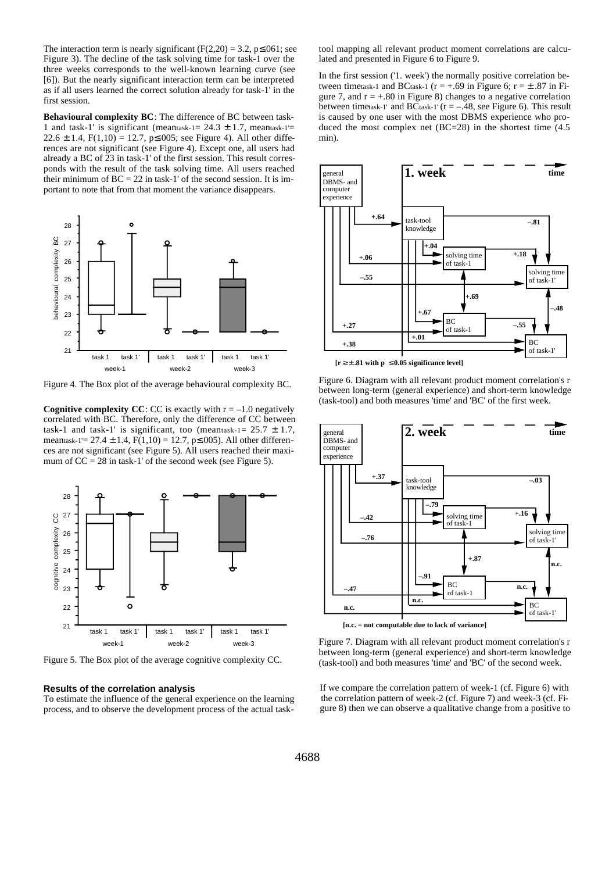The interaction term is nearly significant ( $F(2,20) = 3.2$ ,  $p \le 0.061$ ; see Figure 3). The decline of the task solving time for task-1 over the three weeks corresponds to the well-known learning curve (see [6]). But the nearly significant interaction term can be interpreted as if all users learned the correct solution already for task-1' in the first session.

**Behavioural complexity BC**: The difference of BC between task-1 and task-1' is significant (meantask-1=  $24.3 \pm 1.7$ , meantask-1'= 22.6 ± 1.4,  $F(1,10) = 12.7$ , p $\leq 0.005$ ; see Figure 4). All other differences are not significant (see Figure 4). Except one, all users had already a BC of 23 in task-1' of the first session. This result corresponds with the result of the task solving time. All users reached their minimum of  $BC = 22$  in task-1' of the second session. It is important to note that from that moment the variance disappears.



Figure 4. The Box plot of the average behavioural complexity BC.

**Cognitive complexity CC:** CC is exactly with  $r = -1.0$  negatively correlated with BC. Therefore, only the difference of CC between task-1 and task-1' is significant, too (meantask-1=  $25.7 \pm 1.7$ , meantask-1'= 27.4 ± 1.4,  $F(1,10) = 12.7$ , p $\leq 0.005$ ). All other differences are not significant (see Figure 5). All users reached their maximum of  $CC = 28$  in task-1' of the second week (see Figure 5).



Figure 5. The Box plot of the average cognitive complexity CC.

## **Results of the correlation analysis**

To estimate the influence of the general experience on the learning process, and to observe the development process of the actual tasktool mapping all relevant product moment correlations are calculated and presented in Figure 6 to Figure 9.

In the first session ('1. week') the normally positive correlation between timetask-1 and BCtask-1 ( $r = +0.69$  in Figure 6;  $r = \pm 0.87$  in Figure 7, and  $r = +0.80$  in Figure 8) changes to a negative correlation between timetask-1' and BCtask-1' ( $r = -0.48$ , see Figure 6). This result is caused by one user with the most DBMS experience who produced the most complex net (BC=28) in the shortest time (4.5 min).



**[r** ≥ ± **.81 with p** ≤ **0.05 significance level]**

Figure 6. Diagram with all relevant product moment correlation's r between long-term (general experience) and short-term knowledge (task-tool) and both measures 'time' and 'BC' of the first week.



Figure 7. Diagram with all relevant product moment correlation's r between long-term (general experience) and short-term knowledge (task-tool) and both measures 'time' and 'BC' of the second week.

If we compare the correlation pattern of week-1 (cf. Figure 6) with the correlation pattern of week-2 (cf. Figure 7) and week-3 (cf. Figure 8) then we can observe a qualitative change from a positive to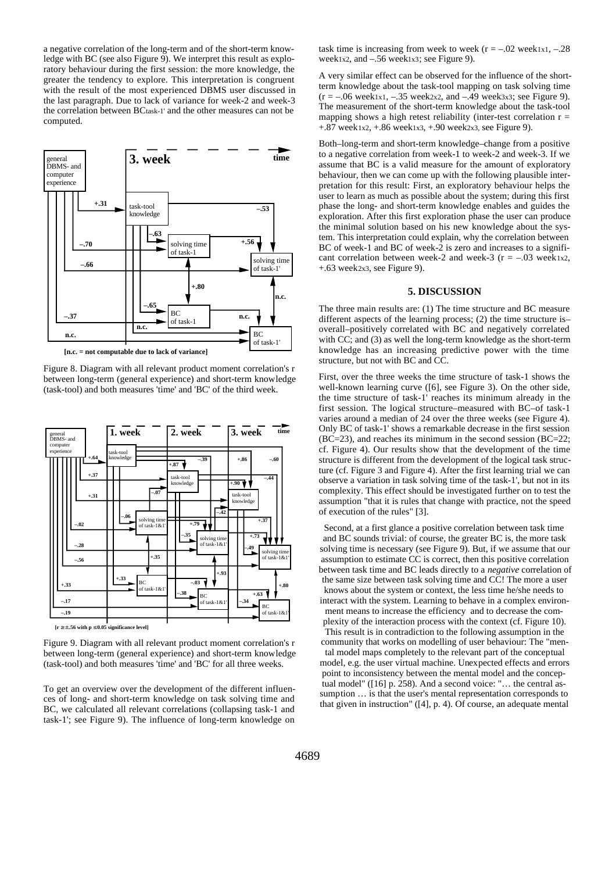a negative correlation of the long-term and of the short-term knowledge with BC (see also Figure 9). We interpret this result as exploratory behaviour during the first session: the more knowledge, the greater the tendency to explore. This interpretation is congruent with the result of the most experienced DBMS user discussed in the last paragraph. Due to lack of variance for week-2 and week-3 the correlation between BCtask-1' and the other measures can not be computed.



Figure 8. Diagram with all relevant product moment correlation's r between long-term (general experience) and short-term knowledge (task-tool) and both measures 'time' and 'BC' of the third week.



Figure 9. Diagram with all relevant product moment correlation's r between long-term (general experience) and short-term knowledge (task-tool) and both measures 'time' and 'BC' for all three weeks.

To get an overview over the development of the different influences of long- and short-term knowledge on task solving time and BC, we calculated all relevant correlations (collapsing task-1 and task-1'; see Figure 9). The influence of long-term knowledge on task time is increasing from week to week ( $r = -0.02$  week $1x1, -0.28$ ) week1x2, and –.56 week1x3; see Figure 9).

A very similar effect can be observed for the influence of the shortterm knowledge about the task-tool mapping on task solving time  $(r = -.06$  week $1x1, -.35$  week $2x2$ , and  $-.49$  week $3x3$ ; see Figure 9). The measurement of the short-term knowledge about the task-tool mapping shows a high retest reliability (inter-test correlation  $r =$ +.87 week1x2, +.86 week1x3, +.90 week2x3, see Figure 9).

Both–long-term and short-term knowledge–change from a positive to a negative correlation from week-1 to week-2 and week-3. If we assume that BC is a valid measure for the amount of exploratory behaviour, then we can come up with the following plausible interpretation for this result: First, an exploratory behaviour helps the user to learn as much as possible about the system; during this first phase the long- and short-term knowledge enables and guides the exploration. After this first exploration phase the user can produce the minimal solution based on his new knowledge about the system. This interpretation could explain, why the correlation between BC of week-1 and BC of week-2 is zero and increases to a significant correlation between week-2 and week-3 ( $r = -.03$  week1x2, +.63 week2x3, see Figure 9).

## **5. DISCUSSION**

The three main results are: (1) The time structure and BC measure different aspects of the learning process; (2) the time structure is– overall–positively correlated with BC and negatively correlated with CC; and (3) as well the long-term knowledge as the short-term knowledge has an increasing predictive power with the time structure, but not with BC and CC.

First, over the three weeks the time structure of task-1 shows the well-known learning curve ([6], see Figure 3). On the other side, the time structure of task-1' reaches its minimum already in the first session. The logical structure–measured with BC–of task-1 varies around a median of 24 over the three weeks (see Figure 4). Only BC of task-1' shows a remarkable decrease in the first session (BC=23), and reaches its minimum in the second session (BC=22; cf. Figure 4). Our results show that the development of the time structure is different from the development of the logical task structure (cf. Figure 3 and Figure 4). After the first learning trial we can observe a variation in task solving time of the task-1', but not in its complexity. This effect should be investigated further on to test the assumption "that it is rules that change with practice, not the speed of execution of the rules" [3].

Second, at a first glance a positive correlation between task time and BC sounds trivial: of course, the greater BC is, the more task solving time is necessary (see Figure 9). But, if we assume that our assumption to estimate CC is correct, then this positive correlation between task time and BC leads directly to a *negative* correlation of the same size between task solving time and CC! The more a user knows about the system or context, the less time he/she needs to interact with the system. Learning to behave in a complex environment means to increase the efficiency and to decrease the complexity of the interaction process with the context (cf. Figure 10).

This result is in contradiction to the following assumption in the community that works on modelling of user behaviour: The "mental model maps completely to the relevant part of the conceptual model, e.g. the user virtual machine. Unexpected effects and errors point to inconsistency between the mental model and the conceptual model" ([16] p. 258). And a second voice: "… the central assumption … is that the user's mental representation corresponds to that given in instruction" ([4], p. 4). Of course, an adequate mental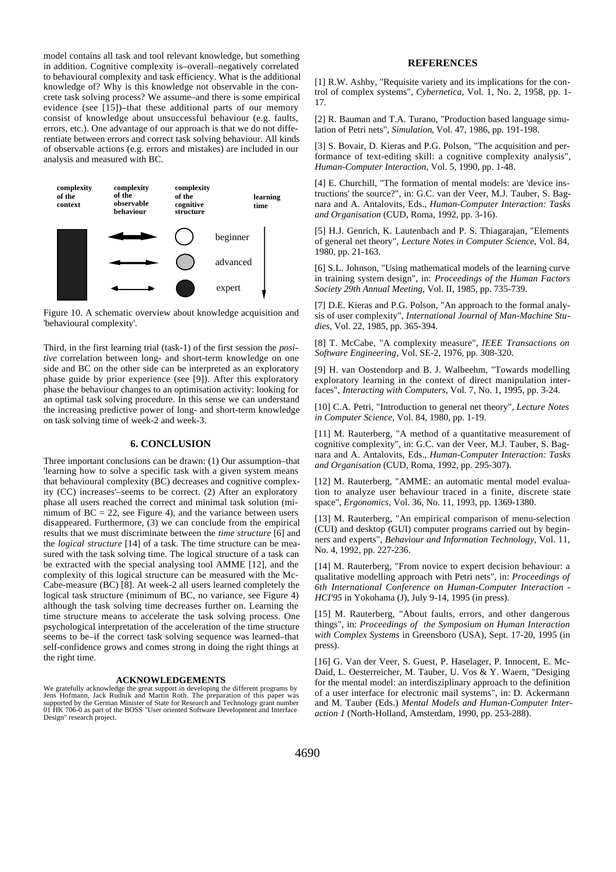model contains all task and tool relevant knowledge, but something in addition. Cognitive complexity is–overall–negatively correlated to behavioural complexity and task efficiency. What is the additional knowledge of? Why is this knowledge not observable in the concrete task solving process? We assume–and there is some empirical evidence (see [15])–that these additional parts of our memory consist of knowledge about unsuccessful behaviour (e.g. faults, errors, etc.). One advantage of our approach is that we do not differentiate between errors and correct task solving behaviour. All kinds of observable actions (e.g. errors and mistakes) are included in our analysis and measured with BC.



Figure 10. A schematic overview about knowledge acquisition and 'behavioural complexity'.

Third, in the first learning trial (task-1) of the first session the *positive* correlation between long- and short-term knowledge on one side and BC on the other side can be interpreted as an exploratory phase guide by prior experience (see [9]). After this exploratory phase the behaviour changes to an optimisation activity: looking for an optimal task solving procedure. In this sense we can understand the increasing predictive power of long- and short-term knowledge on task solving time of week-2 and week-3.

#### **6. CONCLUSION**

Three important conclusions can be drawn: (1) Our assumption–that 'learning how to solve a specific task with a given system means that behavioural complexity (BC) decreases and cognitive complexity (CC) increases'–seems to be correct. (2) After an exploratory phase all users reached the correct and minimal task solution (minimum of  $BC = 22$ , see Figure 4), and the variance between users disappeared. Furthermore, (3) we can conclude from the empirical results that we must discriminate between the *time structure* [6] and the *logical structure* [14] of a task. The time structure can be measured with the task solving time. The logical structure of a task can be extracted with the special analysing tool AMME [12], and the complexity of this logical structure can be measured with the Mc-Cabe-measure (BC) [8]. At week-2 all users learned completely the logical task structure (minimum of BC, no variance, see Figure 4) although the task solving time decreases further on. Learning the time structure means to accelerate the task solving process. One psychological interpretation of the acceleration of the time structure seems to be–if the correct task solving sequence was learned–that self-confidence grows and comes strong in doing the right things at the right time.

#### **ACKNOWLEDGEMENTS**

We gratefully acknowledge the great support in developing the different programs by<br>Jens Hofmann, Jack Rudnik and Martin Roth. The preparation of this paper was<br>supported by the German Minister of State for Research and Te 01 HK 706-0 as part of the BOSS "User oriented Software Development and Interface Design" research project.

### **REFERENCES**

[1] R.W. Ashby, "Requisite variety and its implications for the control of complex systems", *Cybernetica*, Vol. 1, No. 2, 1958, pp. 1- 17.

[2] R. Bauman and T.A. Turano, "Production based language simulation of Petri nets", *Simulation*, Vol. 47, 1986, pp. 191-198.

[3] S. Bovair, D. Kieras and P.G. Polson, "The acquisition and performance of text-editing skill: a cognitive complexity analysis", *Human-Computer Interaction,* Vol. 5, 1990, pp. 1-48.

[4] E. Churchill, "The formation of mental models: are 'device instructions' the source?", in: G.C. van der Veer, M.J. Tauber, S. Bagnara and A. Antalovits, Eds., *Human-Computer Interaction: Tasks and Organisation* (CUD, Roma, 1992, pp. 3-16).

[5] H.J. Genrich, K. Lautenbach and P. S. Thiagarajan, "Elements of general net theory", *Lecture Notes in Computer Science*, Vol. 84, 1980, pp. 21-163.

[6] S.L. Johnson, "Using mathematical models of the learning curve in training system design", in: *Proceedings of the Human Factors Society 29th Annual Meeting*, Vol. II, 1985, pp. 735-739.

[7] D.E. Kieras and P.G. Polson, "An approach to the formal analysis of user complexity", *International Journal of Man-Machine Studies*, Vol. 22, 1985, pp. 365-394.

[8] T. McCabe, "A complexity measure", *IEEE Transactions on Software Engineering*, Vol. SE-2, 1976, pp. 308-320.

[9] H. van Oostendorp and B. J. Walbeehm, "Towards modelling exploratory learning in the context of direct manipulation interfaces", *Interacting with Computers*, Vol. 7, No. 1, 1995, pp. 3-24.

[10] C.A. Petri, "Introduction to general net theory", *Lecture Notes in Computer Science*, Vol. 84, 1980, pp. 1-19.

[11] M. Rauterberg, "A method of a quantitative measurement of cognitive complexity", in: G.C. van der Veer, M.J. Tauber, S. Bagnara and A. Antalovits, Eds., *Human-Computer Interaction: Tasks and Organisation* (CUD, Roma, 1992, pp. 295-307).

[12] M. Rauterberg, "AMME: an automatic mental model evaluation to analyze user behaviour traced in a finite, discrete state space", *Ergonomics,* Vol. 36, No. 11, 1993, pp. 1369-1380.

[13] M. Rauterberg, "An empirical comparison of menu-selection (CUI) and desktop (GUI) computer programs carried out by beginners and experts", *Behaviour and Information Technology*, Vol. 11, No. 4, 1992, pp. 227-236.

[14] M. Rauterberg, "From novice to expert decision behaviour: a qualitative modelling approach with Petri nets", in: *Proceedings of 6th International Conference on Human-Computer Interaction - HCI'95* in Yokohama (J), July 9-14, 1995 (in press).

[15] M. Rauterberg, "About faults, errors, and other dangerous things", in: *Proceedings of the Symposium on Human Interaction with Complex Systems* in Greensboro (USA), Sept. 17-20, 1995 (in press).

[16] G. Van der Veer, S. Guest, P. Haselager, P. Innocent, E. Mc-Daid, L. Oesterreicher, M. Tauber, U. Vos & Y. Waern, "Desiging for the mental model: an interdisziplinary approach to the definition of a user interface for electronic mail systems", in: D. Ackermann and M. Tauber (Eds.) *Mental Models and Human-Computer Interaction 1* (North-Holland, Amsterdam, 1990, pp. 253-288).